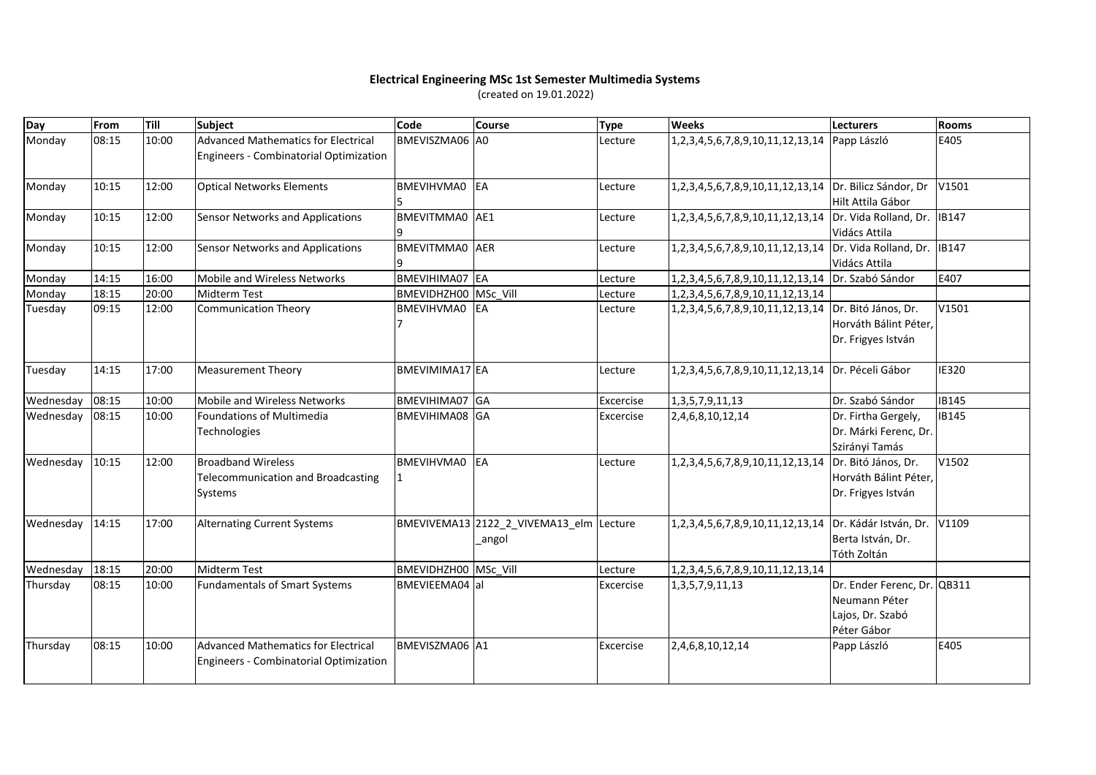## **Electrical Engineering MSc 1st Semester Multimedia Systems**

(created on 19.01.2022)

| Day             | From  | Till  | <b>Subject</b>                                                                       | Code                  | Course                                            | <b>Type</b> | <b>Weeks</b>                                           | <b>Lecturers</b>                                                          | <b>Rooms</b> |
|-----------------|-------|-------|--------------------------------------------------------------------------------------|-----------------------|---------------------------------------------------|-------------|--------------------------------------------------------|---------------------------------------------------------------------------|--------------|
| Monday          | 08:15 | 10:00 | <b>Advanced Mathematics for Electrical</b><br>Engineers - Combinatorial Optimization | <b>BMEVISZMA06 A0</b> |                                                   | Lecture     | 1, 2, 3, 4, 5, 6, 7, 8, 9, 10, 11, 12, 13, 14          | Papp László                                                               | E405         |
| Monday          | 10:15 | 12:00 | <b>Optical Networks Elements</b>                                                     | BMEVIHVMA0            | EA                                                | Lecture     | 1,2,3,4,5,6,7,8,9,10,11,12,13,14 Dr. Bilicz Sándor, Dr | Hilt Attila Gábor                                                         | V1501        |
| Monday          | 10:15 | 12:00 | Sensor Networks and Applications                                                     | BMEVITMMA0 AE1        |                                                   | Lecture     | 1, 2, 3, 4, 5, 6, 7, 8, 9, 10, 11, 12, 13, 14          | Dr. Vida Rolland, Dr.<br>Vidács Attila                                    | <b>IB147</b> |
| Monday          | 10:15 | 12:00 | Sensor Networks and Applications                                                     | BMEVITMMA0 AER        |                                                   | Lecture     | 1,2,3,4,5,6,7,8,9,10,11,12,13,14                       | Dr. Vida Rolland, Dr.<br>Vidács Attila                                    | <b>IB147</b> |
| Monday          | 14:15 | 16:00 | Mobile and Wireless Networks                                                         | BMEVIHIMA07 EA        |                                                   | Lecture     | 1,2,3,4,5,6,7,8,9,10,11,12,13,14                       | Dr. Szabó Sándor                                                          | E407         |
| Monday          | 18:15 | 20:00 | <b>Midterm Test</b>                                                                  | BMEVIDHZH00 MSc Vill  |                                                   | Lecture     | 1, 2, 3, 4, 5, 6, 7, 8, 9, 10, 11, 12, 13, 14          |                                                                           |              |
| Tuesday         | 09:15 | 12:00 | <b>Communication Theory</b>                                                          | BMEVIHVMA0            | <b>EA</b>                                         | Lecture     | 1, 2, 3, 4, 5, 6, 7, 8, 9, 10, 11, 12, 13, 14          | Dr. Bitó János, Dr.<br>Horváth Bálint Péter,<br>Dr. Frigyes István        | V1501        |
| Tuesday         | 14:15 | 17:00 | <b>Measurement Theory</b>                                                            | BMEVIMIMA17 EA        |                                                   | Lecture     | 1, 2, 3, 4, 5, 6, 7, 8, 9, 10, 11, 12, 13, 14          | Dr. Péceli Gábor                                                          | IE320        |
| Wednesday       | 08:15 | 10:00 | Mobile and Wireless Networks                                                         | BMEVIHIMA07 GA        |                                                   | Excercise   | 1, 3, 5, 7, 9, 11, 13                                  | Dr. Szabó Sándor                                                          | <b>IB145</b> |
| Wednesday       | 08:15 | 10:00 | <b>Foundations of Multimedia</b><br>Technologies                                     | BMEVIHIMA08 GA        |                                                   | Excercise   | 2,4,6,8,10,12,14                                       | Dr. Firtha Gergely,<br>Dr. Márki Ferenc, Dr.<br>Szirányi Tamás            | <b>IB145</b> |
| Wednesday       | 10:15 | 12:00 | <b>Broadband Wireless</b><br><b>Telecommunication and Broadcasting</b><br>Systems    | <b>BMEVIHVMA0</b>     | EA                                                | Lecture     | 1,2,3,4,5,6,7,8,9,10,11,12,13,14                       | Dr. Bitó János, Dr.<br>Horváth Bálint Péter,<br>Dr. Frigyes István        | V1502        |
| Wednesday 14:15 |       | 17:00 | <b>Alternating Current Systems</b>                                                   |                       | BMEVIVEMA13 2122_2_VIVEMA13_elm Lecture<br>_angol |             | 1,2,3,4,5,6,7,8,9,10,11,12,13,14                       | Dr. Kádár István, Dr.<br>Berta István, Dr.<br>Tóth Zoltán                 | V1109        |
| Wednesday       | 18:15 | 20:00 | <b>Midterm Test</b>                                                                  | BMEVIDHZH00 MSc Vill  |                                                   | Lecture     | 1,2,3,4,5,6,7,8,9,10,11,12,13,14                       |                                                                           |              |
| Thursday        | 08:15 | 10:00 | <b>Fundamentals of Smart Systems</b>                                                 | BMEVIEEMA04 al        |                                                   | Excercise   | 1, 3, 5, 7, 9, 11, 13                                  | Dr. Ender Ferenc, Dr.<br>Neumann Péter<br>Lajos, Dr. Szabó<br>Péter Gábor | QB311        |
| Thursday        | 08:15 | 10:00 | <b>Advanced Mathematics for Electrical</b><br>Engineers - Combinatorial Optimization | BMEVISZMA06 A1        |                                                   | Excercise   | 2,4,6,8,10,12,14                                       | Papp László                                                               | E405         |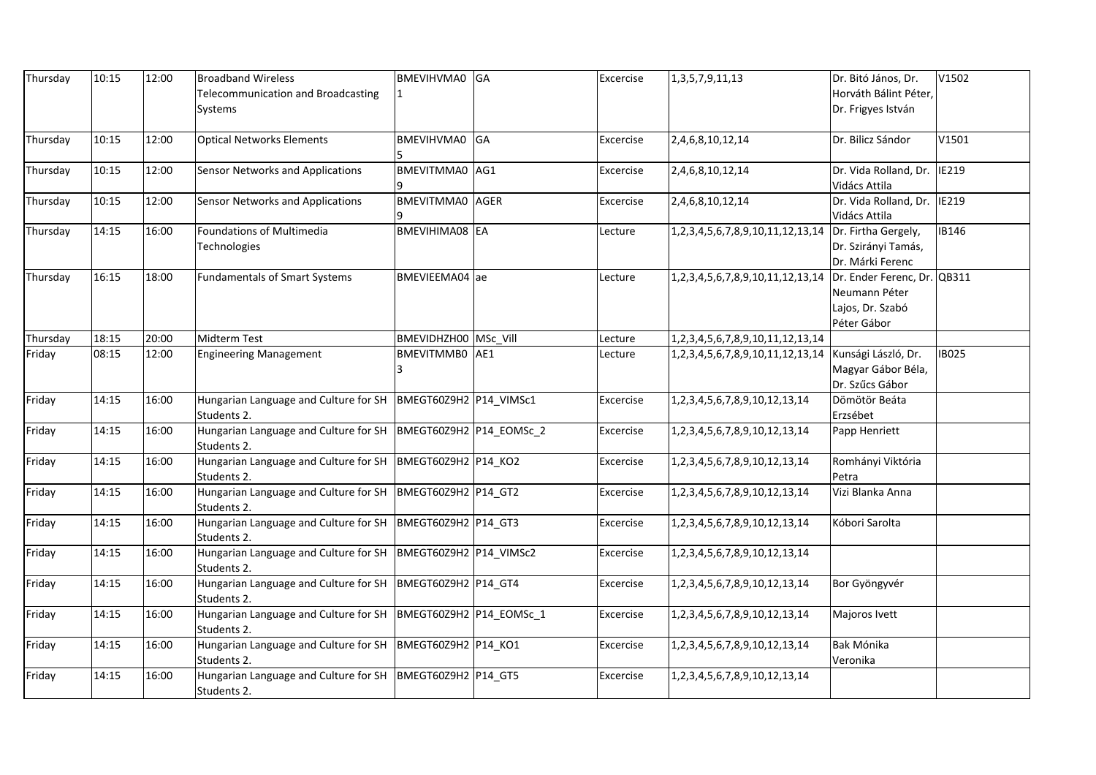| Thursday | 10:15 | 12:00 | <b>Broadband Wireless</b>                                                      | BMEVIHVMA0 GA          | Excercise | 1, 3, 5, 7, 9, 11, 13                                | Dr. Bitó János, Dr.         | V1502        |
|----------|-------|-------|--------------------------------------------------------------------------------|------------------------|-----------|------------------------------------------------------|-----------------------------|--------------|
|          |       |       | Telecommunication and Broadcasting                                             |                        |           |                                                      | Horváth Bálint Péter,       |              |
|          |       |       | Systems                                                                        |                        |           |                                                      | Dr. Frigyes István          |              |
|          |       |       |                                                                                |                        |           |                                                      |                             |              |
| Thursday | 10:15 | 12:00 | <b>Optical Networks Elements</b>                                               | BMEVIHVMA0 GA          | Excercise | 2,4,6,8,10,12,14                                     | Dr. Bilicz Sándor           | V1501        |
| Thursday | 10:15 | 12:00 | Sensor Networks and Applications                                               | BMEVITMMA0 AG1         | Excercise | 2,4,6,8,10,12,14                                     | Dr. Vida Rolland, Dr.       | <b>IE219</b> |
|          |       |       |                                                                                |                        |           |                                                      | Vidács Attila               |              |
| Thursday | 10:15 | 12:00 | <b>Sensor Networks and Applications</b>                                        | <b>BMEVITMMA0</b> AGER | Excercise | 2,4,6,8,10,12,14                                     | Dr. Vida Rolland, Dr.       | <b>IE219</b> |
|          |       |       |                                                                                |                        |           |                                                      | Vidács Attila               |              |
| Thursday | 14:15 | 16:00 | Foundations of Multimedia                                                      | BMEVIHIMA08 EA         | Lecture   | 1,2,3,4,5,6,7,8,9,10,11,12,13,14                     | Dr. Firtha Gergely,         | IB146        |
|          |       |       | Technologies                                                                   |                        |           |                                                      | Dr. Szirányi Tamás,         |              |
|          |       |       |                                                                                |                        |           |                                                      | Dr. Márki Ferenc            |              |
| Thursday | 16:15 | 18:00 | <b>Fundamentals of Smart Systems</b>                                           | BMEVIEEMA04 ae         | Lecture   | 1,2,3,4,5,6,7,8,9,10,11,12,13,14                     | Dr. Ender Ferenc, Dr. QB311 |              |
|          |       |       |                                                                                |                        |           |                                                      | Neumann Péter               |              |
|          |       |       |                                                                                |                        |           |                                                      | Lajos, Dr. Szabó            |              |
|          |       |       |                                                                                |                        |           |                                                      | Péter Gábor                 |              |
| Thursday | 18:15 | 20:00 | Midterm Test                                                                   | BMEVIDHZH00 MSc Vill   | Lecture   | 1, 2, 3, 4, 5, 6, 7, 8, 9, 10, 11, 12, 13, 14        |                             |              |
| Friday   | 08:15 | 12:00 | <b>Engineering Management</b>                                                  | BMEVITMMB0 AE1         | Lecture   | 1,2,3,4,5,6,7,8,9,10,11,12,13,14 Kunsági László, Dr. |                             | <b>IB025</b> |
|          |       |       |                                                                                |                        |           |                                                      | Magyar Gábor Béla,          |              |
|          |       |       |                                                                                |                        |           |                                                      | Dr. Szűcs Gábor             |              |
| Friday   | 14:15 | 16:00 | Hungarian Language and Culture for SH                                          | BMEGT60Z9H2 P14 VIMSc1 | Excercise | 1, 2, 3, 4, 5, 6, 7, 8, 9, 10, 12, 13, 14            | Dömötör Beáta               |              |
|          |       |       | Students 2.                                                                    |                        |           |                                                      | Erzsébet                    |              |
| Friday   | 14:15 | 16:00 | Hungarian Language and Culture for SH  BMEGT60Z9H2  P14_EOMSc_2<br>Students 2. |                        | Excercise | 1, 2, 3, 4, 5, 6, 7, 8, 9, 10, 12, 13, 14            | Papp Henriett               |              |
| Friday   | 14:15 | 16:00 | Hungarian Language and Culture for SH   BMEGT60Z9H2   P14 KO2                  |                        | Excercise | 1, 2, 3, 4, 5, 6, 7, 8, 9, 10, 12, 13, 14            | Romhányi Viktória           |              |
|          |       |       | Students 2.                                                                    |                        |           |                                                      | Petra                       |              |
| Friday   | 14:15 | 16:00 | Hungarian Language and Culture for SH   BMEGT60Z9H2   P14 GT2<br>Students 2.   |                        | Excercise | 1, 2, 3, 4, 5, 6, 7, 8, 9, 10, 12, 13, 14            | Vizi Blanka Anna            |              |
| Friday   | 14:15 | 16:00 | Hungarian Language and Culture for SH   BMEGT60Z9H2   P14_GT3<br>Students 2.   |                        | Excercise | 1, 2, 3, 4, 5, 6, 7, 8, 9, 10, 12, 13, 14            | Kóbori Sarolta              |              |
| Friday   | 14:15 | 16:00 | Hungarian Language and Culture for SH  BMEGT60Z9H2  P14_VIMSc2<br>Students 2.  |                        | Excercise | 1, 2, 3, 4, 5, 6, 7, 8, 9, 10, 12, 13, 14            |                             |              |
| Friday   | 14:15 | 16:00 | Hungarian Language and Culture for SH   BMEGT60Z9H2   P14_GT4<br>Students 2.   |                        | Excercise | 1, 2, 3, 4, 5, 6, 7, 8, 9, 10, 12, 13, 14            | Bor Gyöngyvér               |              |
| Friday   | 14:15 | 16:00 | Hungarian Language and Culture for SH  BMEGT60Z9H2  P14_EOMSc_1                |                        | Excercise | 1, 2, 3, 4, 5, 6, 7, 8, 9, 10, 12, 13, 14            | Majoros Ivett               |              |
|          |       |       | Students 2.                                                                    |                        |           |                                                      |                             |              |
| Friday   | 14:15 | 16:00 | Hungarian Language and Culture for SH   BMEGT60Z9H2   P14 KO1                  |                        | Excercise | 1,2,3,4,5,6,7,8,9,10,12,13,14                        | Bak Mónika                  |              |
|          |       |       | Students 2.                                                                    |                        |           |                                                      | Veronika                    |              |
| Friday   | 14:15 | 16:00 | Hungarian Language and Culture for SH   BMEGT60Z9H2   P14 GT5<br>Students 2.   |                        | Excercise | 1, 2, 3, 4, 5, 6, 7, 8, 9, 10, 12, 13, 14            |                             |              |
|          |       |       |                                                                                |                        |           |                                                      |                             |              |